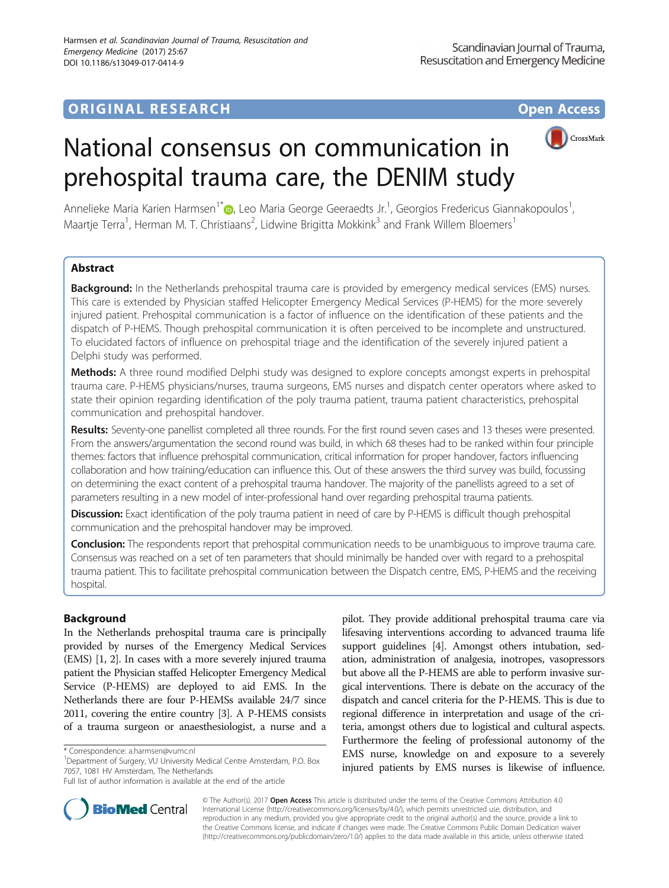## **ORIGINAL RESEARCH CONFIDENTIAL CONFIDENTIAL CONFIDENTIAL CONFIDENTIAL CONFIDENTIAL CONFIDENTIAL CONFIDENTIAL CONFIDENTIAL CONFIDENTIAL CONFIDENTIAL CONFIDENTIAL CONFIDENTIAL CONFIDENTIAL CONFIDENTIAL CONFIDENTIAL CONFIDEN**



# National consensus on communication in prehospital trauma care, the DENIM study

Annelieke Maria Karien Harmsen<sup>1[\\*](http://orcid.org/0000-0002-1311-4694)</sup> (**p**, Leo Maria George Geeraedts Jr.<sup>1</sup>, Georgios Fredericus Giannakopoulos<sup>1</sup> , Maartje Terra<sup>1</sup>, Herman M. T. Christiaans<sup>2</sup>, Lidwine Brigitta Mokkink<sup>3</sup> and Frank Willem Bloemers<sup>1</sup>

## Abstract

Background: In the Netherlands prehospital trauma care is provided by emergency medical services (EMS) nurses. This care is extended by Physician staffed Helicopter Emergency Medical Services (P-HEMS) for the more severely injured patient. Prehospital communication is a factor of influence on the identification of these patients and the dispatch of P-HEMS. Though prehospital communication it is often perceived to be incomplete and unstructured. To elucidated factors of influence on prehospital triage and the identification of the severely injured patient a Delphi study was performed.

Methods: A three round modified Delphi study was designed to explore concepts amongst experts in prehospital trauma care. P-HEMS physicians/nurses, trauma surgeons, EMS nurses and dispatch center operators where asked to state their opinion regarding identification of the poly trauma patient, trauma patient characteristics, prehospital communication and prehospital handover.

Results: Seventy-one panellist completed all three rounds. For the first round seven cases and 13 theses were presented. From the answers/argumentation the second round was build, in which 68 theses had to be ranked within four principle themes: factors that influence prehospital communication, critical information for proper handover, factors influencing collaboration and how training/education can influence this. Out of these answers the third survey was build, focussing on determining the exact content of a prehospital trauma handover. The majority of the panellists agreed to a set of parameters resulting in a new model of inter-professional hand over regarding prehospital trauma patients.

Discussion: Exact identification of the poly trauma patient in need of care by P-HEMS is difficult though prehospital communication and the prehospital handover may be improved.

Conclusion: The respondents report that prehospital communication needs to be unambiguous to improve trauma care. Consensus was reached on a set of ten parameters that should minimally be handed over with regard to a prehospital trauma patient. This to facilitate prehospital communication between the Dispatch centre, EMS, P-HEMS and the receiving hospital.

## Background

In the Netherlands prehospital trauma care is principally provided by nurses of the Emergency Medical Services (EMS) [\[1, 2\]](#page-9-0). In cases with a more severely injured trauma patient the Physician staffed Helicopter Emergency Medical Service (P-HEMS) are deployed to aid EMS. In the Netherlands there are four P-HEMSs available 24/7 since 2011, covering the entire country [\[3\]](#page-9-0). A P-HEMS consists of a trauma surgeon or anaesthesiologist, a nurse and a

\* Correspondence: [a.harmsen@vumc.nl](mailto:a.harmsen@vumc.nl) <sup>1</sup>

Department of Surgery, VU University Medical Centre Amsterdam, P.O. Box 7057, 1081 HV Amsterdam, The Netherlands

pilot. They provide additional prehospital trauma care via lifesaving interventions according to advanced trauma life support guidelines [\[4\]](#page-9-0). Amongst others intubation, sedation, administration of analgesia, inotropes, vasopressors but above all the P-HEMS are able to perform invasive surgical interventions. There is debate on the accuracy of the dispatch and cancel criteria for the P-HEMS. This is due to regional difference in interpretation and usage of the criteria, amongst others due to logistical and cultural aspects. Furthermore the feeling of professional autonomy of the EMS nurse, knowledge on and exposure to a severely injured patients by EMS nurses is likewise of influence.



© The Author(s). 2017 **Open Access** This article is distributed under the terms of the Creative Commons Attribution 4.0 International License [\(http://creativecommons.org/licenses/by/4.0/](http://creativecommons.org/licenses/by/4.0/)), which permits unrestricted use, distribution, and reproduction in any medium, provided you give appropriate credit to the original author(s) and the source, provide a link to the Creative Commons license, and indicate if changes were made. The Creative Commons Public Domain Dedication waiver [\(http://creativecommons.org/publicdomain/zero/1.0/](http://creativecommons.org/publicdomain/zero/1.0/)) applies to the data made available in this article, unless otherwise stated.

Full list of author information is available at the end of the article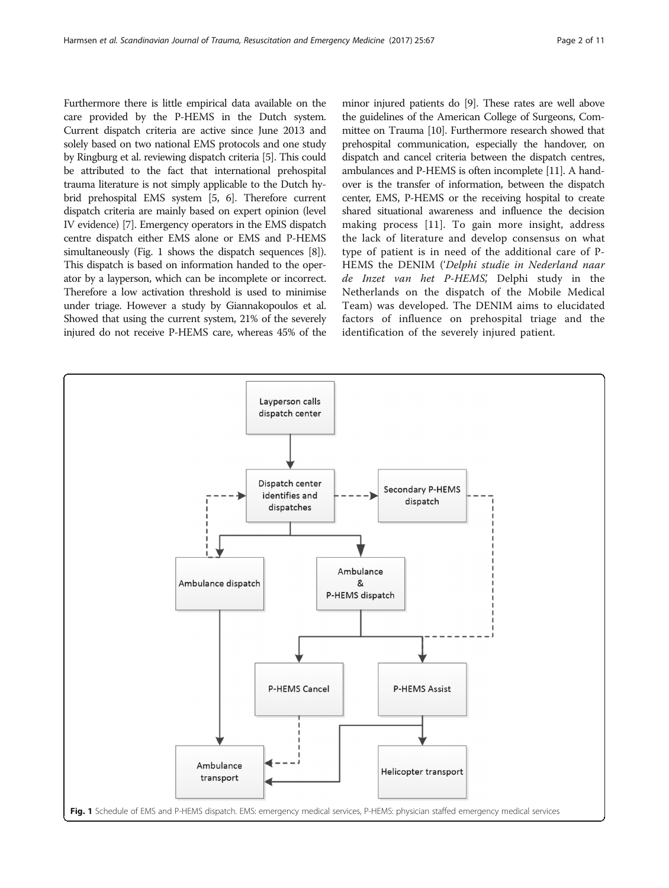Furthermore there is little empirical data available on the care provided by the P-HEMS in the Dutch system. Current dispatch criteria are active since June 2013 and solely based on two national EMS protocols and one study by Ringburg et al. reviewing dispatch criteria [\[5](#page-9-0)]. This could be attributed to the fact that international prehospital trauma literature is not simply applicable to the Dutch hybrid prehospital EMS system [[5](#page-9-0), [6\]](#page-9-0). Therefore current dispatch criteria are mainly based on expert opinion (level IV evidence) [\[7\]](#page-9-0). Emergency operators in the EMS dispatch centre dispatch either EMS alone or EMS and P-HEMS simultaneously (Fig. 1 shows the dispatch sequences [[8](#page-9-0)]). This dispatch is based on information handed to the operator by a layperson, which can be incomplete or incorrect. Therefore a low activation threshold is used to minimise under triage. However a study by Giannakopoulos et al. Showed that using the current system, 21% of the severely injured do not receive P-HEMS care, whereas 45% of the

minor injured patients do [\[9](#page-9-0)]. These rates are well above the guidelines of the American College of Surgeons, Committee on Trauma [[10](#page-9-0)]. Furthermore research showed that prehospital communication, especially the handover, on dispatch and cancel criteria between the dispatch centres, ambulances and P-HEMS is often incomplete [\[11](#page-9-0)]. A handover is the transfer of information, between the dispatch center, EMS, P-HEMS or the receiving hospital to create shared situational awareness and influence the decision making process [\[11](#page-9-0)]. To gain more insight, address the lack of literature and develop consensus on what type of patient is in need of the additional care of P-HEMS the DENIM ('Delphi studie in Nederland naar de Inzet van het P-HEMS', Delphi study in the Netherlands on the dispatch of the Mobile Medical Team) was developed. The DENIM aims to elucidated factors of influence on prehospital triage and the identification of the severely injured patient.

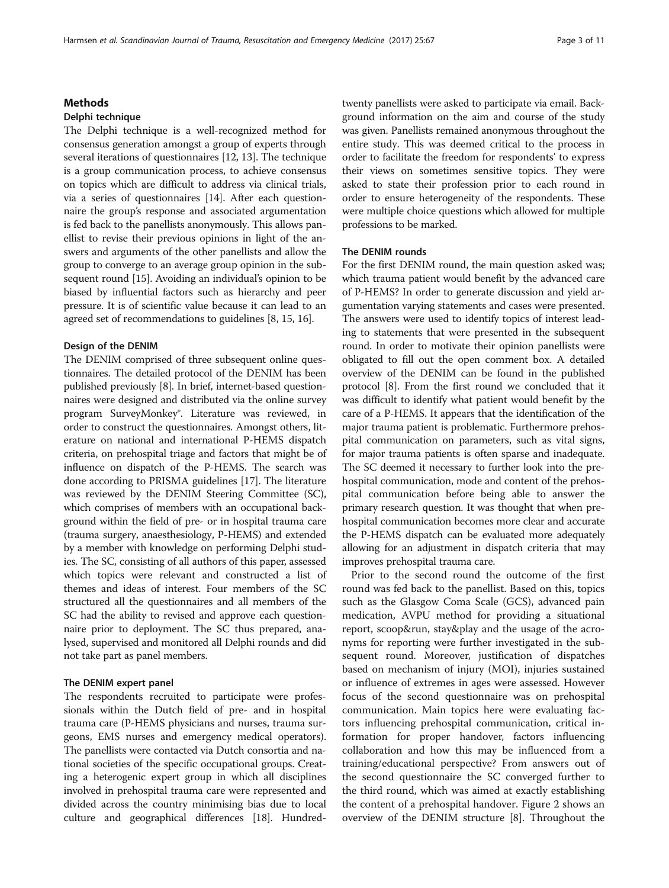## Methods

## Delphi technique

The Delphi technique is a well-recognized method for consensus generation amongst a group of experts through several iterations of questionnaires [[12](#page-9-0), [13\]](#page-9-0). The technique is a group communication process, to achieve consensus on topics which are difficult to address via clinical trials, via a series of questionnaires [[14](#page-10-0)]. After each questionnaire the group's response and associated argumentation is fed back to the panellists anonymously. This allows panellist to revise their previous opinions in light of the answers and arguments of the other panellists and allow the group to converge to an average group opinion in the subsequent round [[15](#page-10-0)]. Avoiding an individual's opinion to be biased by influential factors such as hierarchy and peer pressure. It is of scientific value because it can lead to an agreed set of recommendations to guidelines [\[8,](#page-9-0) [15](#page-10-0), [16\]](#page-10-0).

## Design of the DENIM

The DENIM comprised of three subsequent online questionnaires. The detailed protocol of the DENIM has been published previously [\[8\]](#page-9-0). In brief, internet-based questionnaires were designed and distributed via the online survey program SurveyMonkey®. Literature was reviewed, in order to construct the questionnaires. Amongst others, literature on national and international P-HEMS dispatch criteria, on prehospital triage and factors that might be of influence on dispatch of the P-HEMS. The search was done according to PRISMA guidelines [\[17\]](#page-10-0). The literature was reviewed by the DENIM Steering Committee (SC), which comprises of members with an occupational background within the field of pre- or in hospital trauma care (trauma surgery, anaesthesiology, P-HEMS) and extended by a member with knowledge on performing Delphi studies. The SC, consisting of all authors of this paper, assessed which topics were relevant and constructed a list of themes and ideas of interest. Four members of the SC structured all the questionnaires and all members of the SC had the ability to revised and approve each questionnaire prior to deployment. The SC thus prepared, analysed, supervised and monitored all Delphi rounds and did not take part as panel members.

#### The DENIM expert panel

The respondents recruited to participate were professionals within the Dutch field of pre- and in hospital trauma care (P-HEMS physicians and nurses, trauma surgeons, EMS nurses and emergency medical operators). The panellists were contacted via Dutch consortia and national societies of the specific occupational groups. Creating a heterogenic expert group in which all disciplines involved in prehospital trauma care were represented and divided across the country minimising bias due to local culture and geographical differences [\[18\]](#page-10-0). Hundredtwenty panellists were asked to participate via email. Background information on the aim and course of the study was given. Panellists remained anonymous throughout the entire study. This was deemed critical to the process in order to facilitate the freedom for respondents' to express their views on sometimes sensitive topics. They were asked to state their profession prior to each round in order to ensure heterogeneity of the respondents. These were multiple choice questions which allowed for multiple professions to be marked.

## The DENIM rounds

For the first DENIM round, the main question asked was; which trauma patient would benefit by the advanced care of P-HEMS? In order to generate discussion and yield argumentation varying statements and cases were presented. The answers were used to identify topics of interest leading to statements that were presented in the subsequent round. In order to motivate their opinion panellists were obligated to fill out the open comment box. A detailed overview of the DENIM can be found in the published protocol [[8\]](#page-9-0). From the first round we concluded that it was difficult to identify what patient would benefit by the care of a P-HEMS. It appears that the identification of the major trauma patient is problematic. Furthermore prehospital communication on parameters, such as vital signs, for major trauma patients is often sparse and inadequate. The SC deemed it necessary to further look into the prehospital communication, mode and content of the prehospital communication before being able to answer the primary research question. It was thought that when prehospital communication becomes more clear and accurate the P-HEMS dispatch can be evaluated more adequately allowing for an adjustment in dispatch criteria that may improves prehospital trauma care.

Prior to the second round the outcome of the first round was fed back to the panellist. Based on this, topics such as the Glasgow Coma Scale (GCS), advanced pain medication, AVPU method for providing a situational report, scoop&run, stay&play and the usage of the acronyms for reporting were further investigated in the subsequent round. Moreover, justification of dispatches based on mechanism of injury (MOI), injuries sustained or influence of extremes in ages were assessed. However focus of the second questionnaire was on prehospital communication. Main topics here were evaluating factors influencing prehospital communication, critical information for proper handover, factors influencing collaboration and how this may be influenced from a training/educational perspective? From answers out of the second questionnaire the SC converged further to the third round, which was aimed at exactly establishing the content of a prehospital handover. Figure [2](#page-3-0) shows an overview of the DENIM structure [[8\]](#page-9-0). Throughout the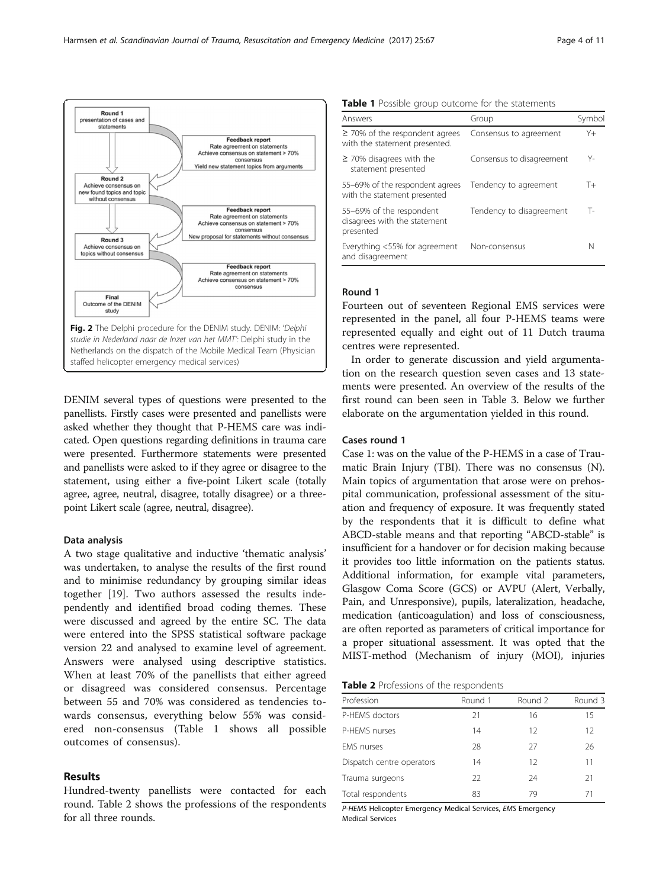<span id="page-3-0"></span>

staffed helicopter emergency medical services)

DENIM several types of questions were presented to the panellists. Firstly cases were presented and panellists were asked whether they thought that P-HEMS care was indicated. Open questions regarding definitions in trauma care were presented. Furthermore statements were presented and panellists were asked to if they agree or disagree to the statement, using either a five-point Likert scale (totally agree, agree, neutral, disagree, totally disagree) or a threepoint Likert scale (agree, neutral, disagree).

## Data analysis

A two stage qualitative and inductive 'thematic analysis' was undertaken, to analyse the results of the first round and to minimise redundancy by grouping similar ideas together [\[19\]](#page-10-0). Two authors assessed the results independently and identified broad coding themes. These were discussed and agreed by the entire SC. The data were entered into the SPSS statistical software package version 22 and analysed to examine level of agreement. Answers were analysed using descriptive statistics. When at least 70% of the panellists that either agreed or disagreed was considered consensus. Percentage between 55 and 70% was considered as tendencies towards consensus, everything below 55% was considered non-consensus (Table 1 shows all possible outcomes of consensus).

## Results

Hundred-twenty panellists were contacted for each round. Table 2 shows the professions of the respondents for all three rounds.

|  |  |  |  |  | Table 1 Possible group outcome for the statements |
|--|--|--|--|--|---------------------------------------------------|
|--|--|--|--|--|---------------------------------------------------|

| Answers                                                               | Group                     | Symbol |
|-----------------------------------------------------------------------|---------------------------|--------|
| $\geq$ 70% of the respondent agrees<br>with the statement presented.  | Consensus to agreement    | $Y +$  |
| $\geq$ 70% disagrees with the<br>statement presented                  | Consensus to disagreement | Υ-     |
| 55-69% of the respondent agrees<br>with the statement presented       | Tendency to agreement     | $T+$   |
| 55-69% of the respondent<br>disagrees with the statement<br>presented | Tendency to disagreement  | т.     |
| Everything <55% for agreement<br>and disagreement                     | Non-consensus             | N      |

## Round 1

Fourteen out of seventeen Regional EMS services were represented in the panel, all four P-HEMS teams were represented equally and eight out of 11 Dutch trauma centres were represented.

In order to generate discussion and yield argumentation on the research question seven cases and 13 statements were presented. An overview of the results of the first round can been seen in Table [3.](#page-4-0) Below we further elaborate on the argumentation yielded in this round.

## Cases round 1

Case 1: was on the value of the P-HEMS in a case of Traumatic Brain Injury (TBI). There was no consensus (N). Main topics of argumentation that arose were on prehospital communication, professional assessment of the situation and frequency of exposure. It was frequently stated by the respondents that it is difficult to define what ABCD-stable means and that reporting "ABCD-stable" is insufficient for a handover or for decision making because it provides too little information on the patients status. Additional information, for example vital parameters, Glasgow Coma Score (GCS) or AVPU (Alert, Verbally, Pain, and Unresponsive), pupils, lateralization, headache, medication (anticoagulation) and loss of consciousness, are often reported as parameters of critical importance for a proper situational assessment. It was opted that the MIST-method (Mechanism of injury (MOI), injuries

## Table 2 Professions of the respondents

| Profession                | Round 1 | Round <sub>2</sub> | Round 3 |
|---------------------------|---------|--------------------|---------|
| P-HEMS doctors            | 21      | 16                 | 15      |
| P-HEMS nurses             | 14      | 12                 | 12      |
| <b>FMS</b> nurses         | 28      | 27                 | 26      |
| Dispatch centre operators | 14      | 12                 | 11      |
| Trauma surgeons           | 22      | 24                 | 21      |
| Total respondents         | 83      | 79                 | 71      |

P-HEMS Helicopter Emergency Medical Services, EMS Emergency Medical Services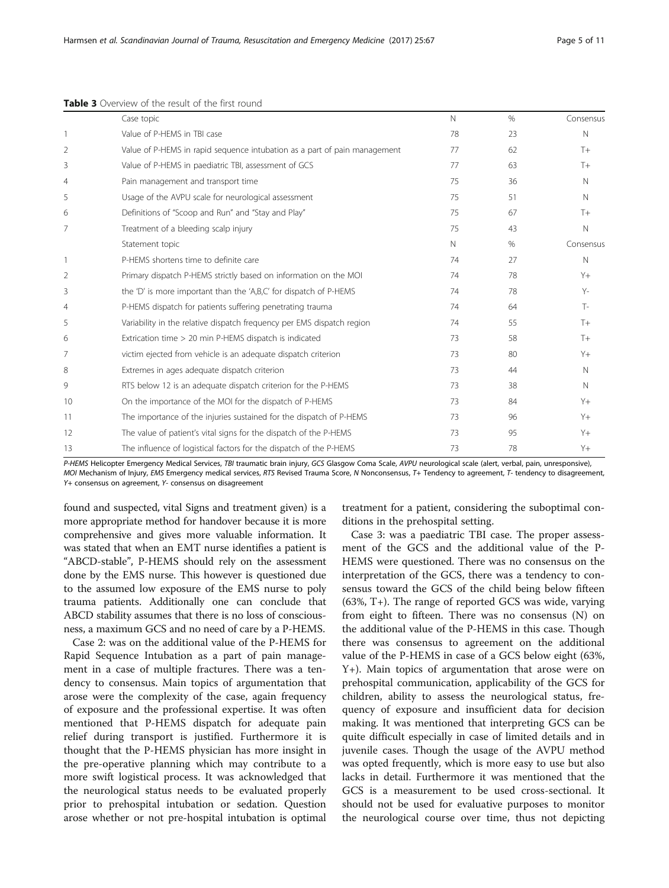|    | Case topic                                                                | N  | $\%$ | Consensus |
|----|---------------------------------------------------------------------------|----|------|-----------|
|    | Value of P-HEMS in TBI case                                               | 78 | 23   | N         |
| 2  | Value of P-HEMS in rapid sequence intubation as a part of pain management | 77 | 62   | $T+$      |
| 3  | Value of P-HEMS in paediatric TBI, assessment of GCS                      | 77 | 63   | $T+$      |
| 4  | Pain management and transport time                                        | 75 | 36   | N         |
| 5  | Usage of the AVPU scale for neurological assessment                       | 75 | 51   | N         |
| 6  | Definitions of "Scoop and Run" and "Stay and Play"                        | 75 | 67   | $T+$      |
| 7  | Treatment of a bleeding scalp injury                                      | 75 | 43   | Ν         |
|    | Statement topic                                                           | N  | %    | Consensus |
|    | P-HEMS shortens time to definite care                                     | 74 | 27   | N         |
| 2  | Primary dispatch P-HEMS strictly based on information on the MOI          | 74 | 78   | $Y +$     |
| 3  | the 'D' is more important than the 'A,B,C' for dispatch of P-HEMS         | 74 | 78   | $Y-$      |
| 4  | P-HEMS dispatch for patients suffering penetrating trauma                 | 74 | 64   | $T -$     |
| 5  | Variability in the relative dispatch frequency per EMS dispatch region    | 74 | 55   | $T+$      |
| 6  | Extrication time > 20 min P-HEMS dispatch is indicated                    | 73 | 58   | $T+$      |
| 7  | victim ejected from vehicle is an adequate dispatch criterion             | 73 | 80   | $Y +$     |
| 8  | Extremes in ages adequate dispatch criterion                              | 73 | 44   | N         |
| 9  | RTS below 12 is an adequate dispatch criterion for the P-HEMS             | 73 | 38   | N         |
| 10 | On the importance of the MOI for the dispatch of P-HEMS                   | 73 | 84   | $Y +$     |
| 11 | The importance of the injuries sustained for the dispatch of P-HEMS       | 73 | 96   | $Y +$     |
| 12 | The value of patient's vital signs for the dispatch of the P-HEMS         | 73 | 95   | $Y +$     |
| 13 | The influence of logistical factors for the dispatch of the P-HEMS        | 73 | 78   | $Y +$     |

#### <span id="page-4-0"></span>Table 3 Overview of the result of the first round

P-HEMS Helicopter Emergency Medical Services, TBI traumatic brain injury, GCS Glasgow Coma Scale, AVPU neurological scale (alert, verbal, pain, unresponsive), MOI Mechanism of Injury, EMS Emergency medical services, RTS Revised Trauma Score, N Nonconsensus, T+ Tendency to agreement, T- tendency to disagreement, Y+ consensus on agreement, Y- consensus on disagreement

found and suspected, vital Signs and treatment given) is a more appropriate method for handover because it is more comprehensive and gives more valuable information. It was stated that when an EMT nurse identifies a patient is "ABCD-stable", P-HEMS should rely on the assessment done by the EMS nurse. This however is questioned due to the assumed low exposure of the EMS nurse to poly trauma patients. Additionally one can conclude that ABCD stability assumes that there is no loss of consciousness, a maximum GCS and no need of care by a P-HEMS.

Case 2: was on the additional value of the P-HEMS for Rapid Sequence Intubation as a part of pain management in a case of multiple fractures. There was a tendency to consensus. Main topics of argumentation that arose were the complexity of the case, again frequency of exposure and the professional expertise. It was often mentioned that P-HEMS dispatch for adequate pain relief during transport is justified. Furthermore it is thought that the P-HEMS physician has more insight in the pre-operative planning which may contribute to a more swift logistical process. It was acknowledged that the neurological status needs to be evaluated properly prior to prehospital intubation or sedation. Question arose whether or not pre-hospital intubation is optimal

treatment for a patient, considering the suboptimal conditions in the prehospital setting.

Case 3: was a paediatric TBI case. The proper assessment of the GCS and the additional value of the P-HEMS were questioned. There was no consensus on the interpretation of the GCS, there was a tendency to consensus toward the GCS of the child being below fifteen  $(63\%, T+)$ . The range of reported GCS was wide, varying from eight to fifteen. There was no consensus (N) on the additional value of the P-HEMS in this case. Though there was consensus to agreement on the additional value of the P-HEMS in case of a GCS below eight (63%, Y+). Main topics of argumentation that arose were on prehospital communication, applicability of the GCS for children, ability to assess the neurological status, frequency of exposure and insufficient data for decision making. It was mentioned that interpreting GCS can be quite difficult especially in case of limited details and in juvenile cases. Though the usage of the AVPU method was opted frequently, which is more easy to use but also lacks in detail. Furthermore it was mentioned that the GCS is a measurement to be used cross-sectional. It should not be used for evaluative purposes to monitor the neurological course over time, thus not depicting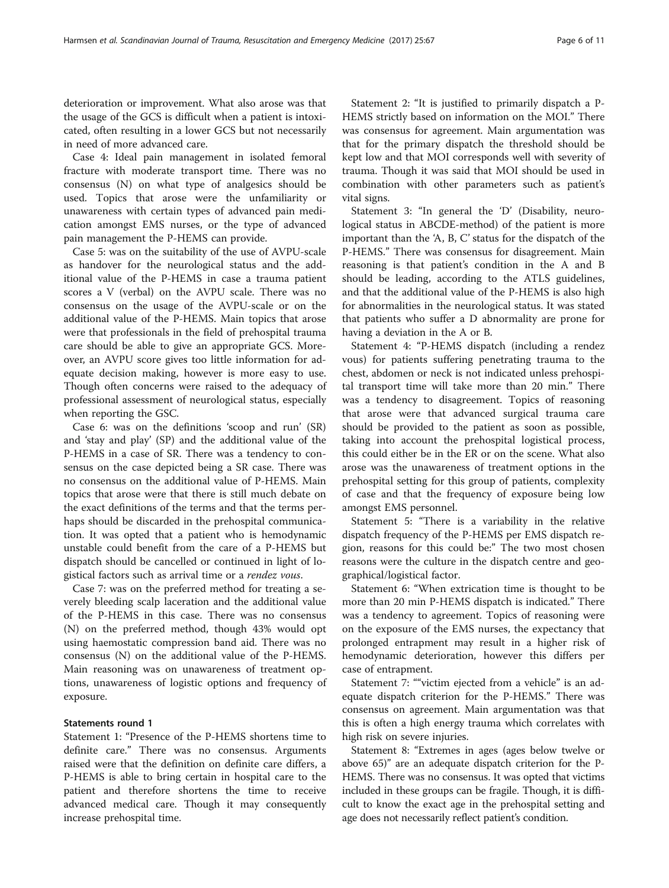deterioration or improvement. What also arose was that the usage of the GCS is difficult when a patient is intoxicated, often resulting in a lower GCS but not necessarily in need of more advanced care.

Case 4: Ideal pain management in isolated femoral fracture with moderate transport time. There was no consensus (N) on what type of analgesics should be used. Topics that arose were the unfamiliarity or unawareness with certain types of advanced pain medication amongst EMS nurses, or the type of advanced pain management the P-HEMS can provide.

Case 5: was on the suitability of the use of AVPU-scale as handover for the neurological status and the additional value of the P-HEMS in case a trauma patient scores a V (verbal) on the AVPU scale. There was no consensus on the usage of the AVPU-scale or on the additional value of the P-HEMS. Main topics that arose were that professionals in the field of prehospital trauma care should be able to give an appropriate GCS. Moreover, an AVPU score gives too little information for adequate decision making, however is more easy to use. Though often concerns were raised to the adequacy of professional assessment of neurological status, especially when reporting the GSC.

Case 6: was on the definitions 'scoop and run' (SR) and 'stay and play' (SP) and the additional value of the P-HEMS in a case of SR. There was a tendency to consensus on the case depicted being a SR case. There was no consensus on the additional value of P-HEMS. Main topics that arose were that there is still much debate on the exact definitions of the terms and that the terms perhaps should be discarded in the prehospital communication. It was opted that a patient who is hemodynamic unstable could benefit from the care of a P-HEMS but dispatch should be cancelled or continued in light of logistical factors such as arrival time or a rendez vous.

Case 7: was on the preferred method for treating a severely bleeding scalp laceration and the additional value of the P-HEMS in this case. There was no consensus (N) on the preferred method, though 43% would opt using haemostatic compression band aid. There was no consensus (N) on the additional value of the P-HEMS. Main reasoning was on unawareness of treatment options, unawareness of logistic options and frequency of exposure.

## Statements round 1

Statement 1: "Presence of the P-HEMS shortens time to definite care." There was no consensus. Arguments raised were that the definition on definite care differs, a P-HEMS is able to bring certain in hospital care to the patient and therefore shortens the time to receive advanced medical care. Though it may consequently increase prehospital time.

Statement 2: "It is justified to primarily dispatch a P-HEMS strictly based on information on the MOI." There was consensus for agreement. Main argumentation was that for the primary dispatch the threshold should be kept low and that MOI corresponds well with severity of trauma. Though it was said that MOI should be used in combination with other parameters such as patient's vital signs.

Statement 3: "In general the 'D' (Disability, neurological status in ABCDE-method) of the patient is more important than the 'A, B, C' status for the dispatch of the P-HEMS." There was consensus for disagreement. Main reasoning is that patient's condition in the A and B should be leading, according to the ATLS guidelines, and that the additional value of the P-HEMS is also high for abnormalities in the neurological status. It was stated that patients who suffer a D abnormality are prone for having a deviation in the A or B.

Statement 4: "P-HEMS dispatch (including a rendez vous) for patients suffering penetrating trauma to the chest, abdomen or neck is not indicated unless prehospital transport time will take more than 20 min." There was a tendency to disagreement. Topics of reasoning that arose were that advanced surgical trauma care should be provided to the patient as soon as possible, taking into account the prehospital logistical process, this could either be in the ER or on the scene. What also arose was the unawareness of treatment options in the prehospital setting for this group of patients, complexity of case and that the frequency of exposure being low amongst EMS personnel.

Statement 5: "There is a variability in the relative dispatch frequency of the P-HEMS per EMS dispatch region, reasons for this could be:" The two most chosen reasons were the culture in the dispatch centre and geographical/logistical factor.

Statement 6: "When extrication time is thought to be more than 20 min P-HEMS dispatch is indicated." There was a tendency to agreement. Topics of reasoning were on the exposure of the EMS nurses, the expectancy that prolonged entrapment may result in a higher risk of hemodynamic deterioration, however this differs per case of entrapment.

Statement 7: ""victim ejected from a vehicle" is an adequate dispatch criterion for the P-HEMS." There was consensus on agreement. Main argumentation was that this is often a high energy trauma which correlates with high risk on severe injuries.

Statement 8: "Extremes in ages (ages below twelve or above 65)" are an adequate dispatch criterion for the P-HEMS. There was no consensus. It was opted that victims included in these groups can be fragile. Though, it is difficult to know the exact age in the prehospital setting and age does not necessarily reflect patient's condition.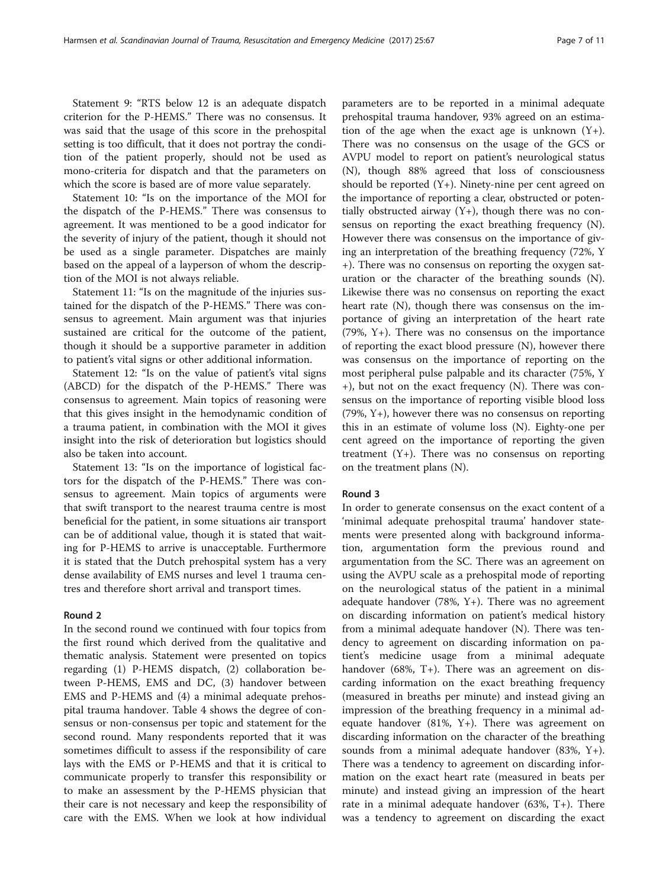Statement 9: "RTS below 12 is an adequate dispatch criterion for the P-HEMS." There was no consensus. It was said that the usage of this score in the prehospital setting is too difficult, that it does not portray the condition of the patient properly, should not be used as mono-criteria for dispatch and that the parameters on which the score is based are of more value separately.

Statement 10: "Is on the importance of the MOI for the dispatch of the P-HEMS." There was consensus to agreement. It was mentioned to be a good indicator for the severity of injury of the patient, though it should not be used as a single parameter. Dispatches are mainly based on the appeal of a layperson of whom the description of the MOI is not always reliable.

Statement 11: "Is on the magnitude of the injuries sustained for the dispatch of the P-HEMS." There was consensus to agreement. Main argument was that injuries sustained are critical for the outcome of the patient, though it should be a supportive parameter in addition to patient's vital signs or other additional information.

Statement 12: "Is on the value of patient's vital signs (ABCD) for the dispatch of the P-HEMS." There was consensus to agreement. Main topics of reasoning were that this gives insight in the hemodynamic condition of a trauma patient, in combination with the MOI it gives insight into the risk of deterioration but logistics should also be taken into account.

Statement 13: "Is on the importance of logistical factors for the dispatch of the P-HEMS." There was consensus to agreement. Main topics of arguments were that swift transport to the nearest trauma centre is most beneficial for the patient, in some situations air transport can be of additional value, though it is stated that waiting for P-HEMS to arrive is unacceptable. Furthermore it is stated that the Dutch prehospital system has a very dense availability of EMS nurses and level 1 trauma centres and therefore short arrival and transport times.

#### Round 2

In the second round we continued with four topics from the first round which derived from the qualitative and thematic analysis. Statement were presented on topics regarding (1) P-HEMS dispatch, (2) collaboration between P-HEMS, EMS and DC, (3) handover between EMS and P-HEMS and (4) a minimal adequate prehospital trauma handover. Table [4](#page-7-0) shows the degree of consensus or non-consensus per topic and statement for the second round. Many respondents reported that it was sometimes difficult to assess if the responsibility of care lays with the EMS or P-HEMS and that it is critical to communicate properly to transfer this responsibility or to make an assessment by the P-HEMS physician that their care is not necessary and keep the responsibility of care with the EMS. When we look at how individual

parameters are to be reported in a minimal adequate prehospital trauma handover, 93% agreed on an estimation of the age when the exact age is unknown  $(Y+)$ . There was no consensus on the usage of the GCS or AVPU model to report on patient's neurological status (N), though 88% agreed that loss of consciousness should be reported  $(Y+)$ . Ninety-nine per cent agreed on the importance of reporting a clear, obstructed or potentially obstructed airway  $(Y+)$ , though there was no consensus on reporting the exact breathing frequency (N). However there was consensus on the importance of giving an interpretation of the breathing frequency (72%, Y +). There was no consensus on reporting the oxygen saturation or the character of the breathing sounds (N). Likewise there was no consensus on reporting the exact heart rate (N), though there was consensus on the importance of giving an interpretation of the heart rate (79%, Y+). There was no consensus on the importance of reporting the exact blood pressure (N), however there was consensus on the importance of reporting on the most peripheral pulse palpable and its character (75%, Y +), but not on the exact frequency (N). There was consensus on the importance of reporting visible blood loss (79%, Y+), however there was no consensus on reporting this in an estimate of volume loss (N). Eighty-one per cent agreed on the importance of reporting the given treatment  $(Y+)$ . There was no consensus on reporting on the treatment plans (N).

## Round 3

In order to generate consensus on the exact content of a 'minimal adequate prehospital trauma' handover statements were presented along with background information, argumentation form the previous round and argumentation from the SC. There was an agreement on using the AVPU scale as a prehospital mode of reporting on the neurological status of the patient in a minimal adequate handover (78%, Y+). There was no agreement on discarding information on patient's medical history from a minimal adequate handover (N). There was tendency to agreement on discarding information on patient's medicine usage from a minimal adequate handover (68%, T+). There was an agreement on discarding information on the exact breathing frequency (measured in breaths per minute) and instead giving an impression of the breathing frequency in a minimal adequate handover (81%, Y+). There was agreement on discarding information on the character of the breathing sounds from a minimal adequate handover (83%, Y+). There was a tendency to agreement on discarding information on the exact heart rate (measured in beats per minute) and instead giving an impression of the heart rate in a minimal adequate handover (63%, T+). There was a tendency to agreement on discarding the exact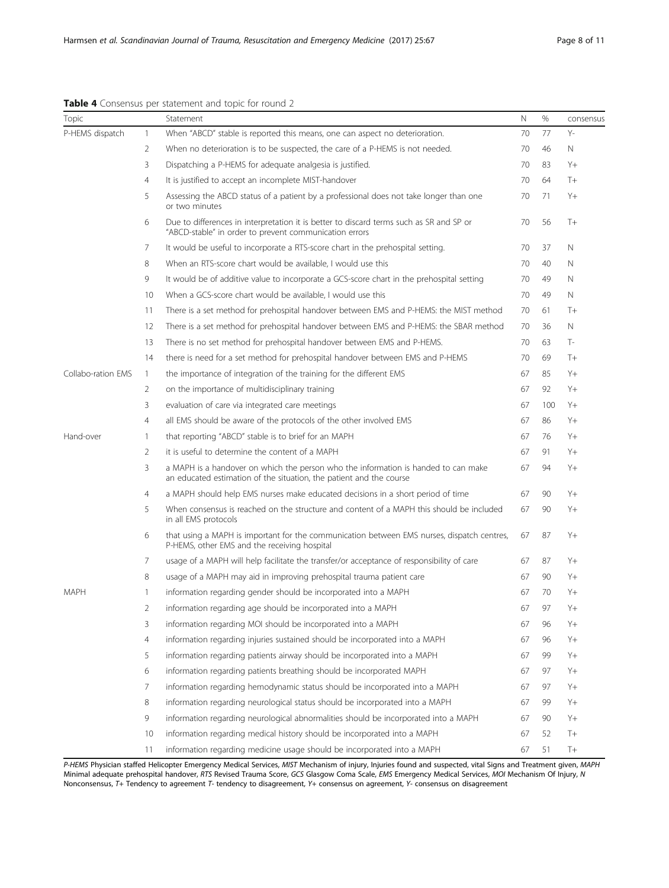| Topic              |                | Statement                                                                                                                                                 | N  | $\%$ | consensus |
|--------------------|----------------|-----------------------------------------------------------------------------------------------------------------------------------------------------------|----|------|-----------|
| P-HEMS dispatch    | $\mathbf{1}$   | When "ABCD" stable is reported this means, one can aspect no deterioration.                                                                               | 70 | 77   | Υ-        |
|                    | 2              | When no deterioration is to be suspected, the care of a P-HEMS is not needed.                                                                             | 70 | 46   | N         |
|                    | 3              | Dispatching a P-HEMS for adequate analgesia is justified.                                                                                                 | 70 | 83   | Y+        |
|                    | $\overline{4}$ | It is justified to accept an incomplete MIST-handover                                                                                                     | 70 | 64   | $T+$      |
|                    | 5              | Assessing the ABCD status of a patient by a professional does not take longer than one<br>or two minutes                                                  | 70 | 71   | Y+        |
|                    | 6              | Due to differences in interpretation it is better to discard terms such as SR and SP or<br>"ABCD-stable" in order to prevent communication errors         | 70 | 56   | $T+$      |
|                    | $\overline{7}$ | It would be useful to incorporate a RTS-score chart in the prehospital setting.                                                                           | 70 | 37   | Ν         |
|                    | 8              | When an RTS-score chart would be available, I would use this                                                                                              | 70 | 40   | N         |
|                    | 9              | It would be of additive value to incorporate a GCS-score chart in the prehospital setting                                                                 | 70 | 49   | N         |
|                    | 10             | When a GCS-score chart would be available, I would use this                                                                                               | 70 | 49   | Ν         |
|                    | 11             | There is a set method for prehospital handover between EMS and P-HEMS: the MIST method                                                                    | 70 | 61   | $T+$      |
|                    | 12             | There is a set method for prehospital handover between EMS and P-HEMS: the SBAR method                                                                    | 70 | 36   | N         |
|                    | 13             | There is no set method for prehospital handover between EMS and P-HEMS.                                                                                   | 70 | 63   | <b>T-</b> |
|                    | 14             | there is need for a set method for prehospital handover between EMS and P-HEMS                                                                            | 70 | 69   | $T+$      |
| Collabo-ration EMS | $\mathbf{1}$   | the importance of integration of the training for the different EMS                                                                                       | 67 | 85   | Y+        |
|                    | 2              | on the importance of multidisciplinary training                                                                                                           | 67 | 92   | Y+        |
|                    | 3              | evaluation of care via integrated care meetings                                                                                                           | 67 | 100  | $Y +$     |
|                    | 4              | all EMS should be aware of the protocols of the other involved EMS                                                                                        | 67 | 86   | Y+        |
| Hand-over          | $\mathbf{1}$   | that reporting "ABCD" stable is to brief for an MAPH                                                                                                      | 67 | 76   | Y+        |
|                    | $\overline{2}$ | it is useful to determine the content of a MAPH                                                                                                           | 67 | 91   | Y+        |
|                    | 3              | a MAPH is a handover on which the person who the information is handed to can make<br>an educated estimation of the situation, the patient and the course | 67 | 94   | Y+        |
|                    | 4              | a MAPH should help EMS nurses make educated decisions in a short period of time                                                                           | 67 | 90   | Y+        |
|                    | 5              | When consensus is reached on the structure and content of a MAPH this should be included<br>in all EMS protocols                                          | 67 | 90   | $Y +$     |
|                    | 6              | that using a MAPH is important for the communication between EMS nurses, dispatch centres,<br>P-HEMS, other EMS and the receiving hospital                | 67 | 87   | Y+        |
|                    | 7              | usage of a MAPH will help facilitate the transfer/or acceptance of responsibility of care                                                                 | 67 | 87   | Y+        |
|                    | 8              | usage of a MAPH may aid in improving prehospital trauma patient care                                                                                      | 67 | 90   | $Y +$     |
| <b>MAPH</b>        | $\mathbf{1}$   | information regarding gender should be incorporated into a MAPH                                                                                           | 67 | 70   | Y+        |
|                    | 2              | information regarding age should be incorporated into a MAPH                                                                                              | 67 | 97   | Y+        |
|                    | 3              | information regarding MOI should be incorporated into a MAPH                                                                                              | 67 | 96   | Y+        |
|                    | 4              | information regarding injuries sustained should be incorporated into a MAPH                                                                               | 67 | 96   | Y+        |
|                    | 5              | information regarding patients airway should be incorporated into a MAPH                                                                                  | 67 | 99   | Y+        |
|                    | 6              | information regarding patients breathing should be incorporated MAPH                                                                                      | 67 | 97   | Y+        |
|                    | 7              | information regarding hemodynamic status should be incorporated into a MAPH                                                                               | 67 | 97   | Y+        |
|                    | 8              | information regarding neurological status should be incorporated into a MAPH                                                                              | 67 | 99   | Y+        |
|                    | 9              | information regarding neurological abnormalities should be incorporated into a MAPH                                                                       | 67 | 90   | Y+        |
|                    | 10             | information regarding medical history should be incorporated into a MAPH                                                                                  | 67 | 52   | $T+$      |
|                    | 11             | information regarding medicine usage should be incorporated into a MAPH                                                                                   | 67 | 51   | $T+$      |

## <span id="page-7-0"></span>Table 4 Consensus per statement and topic for round 2

P-HEMS Physician staffed Helicopter Emergency Medical Services, MIST Mechanism of injury, Injuries found and suspected, vital Signs and Treatment given, MAPH Minimal adequate prehospital handover, RTS Revised Trauma Score, GCS Glasgow Coma Scale, EMS Emergency Medical Services, MOI Mechanism Of Injury, N Nonconsensus, T+ Tendency to agreement T- tendency to disagreement, Y+ consensus on agreement, Y- consensus on disagreement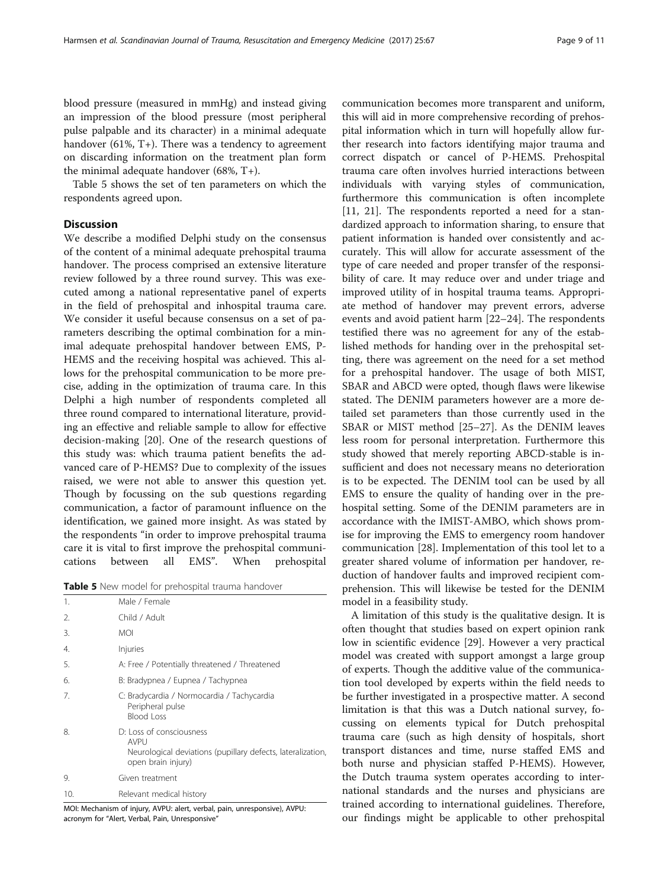blood pressure (measured in mmHg) and instead giving an impression of the blood pressure (most peripheral pulse palpable and its character) in a minimal adequate handover  $(61\%, T+)$ . There was a tendency to agreement on discarding information on the treatment plan form the minimal adequate handover (68%, T+).

Table 5 shows the set of ten parameters on which the respondents agreed upon.

## **Discussion**

We describe a modified Delphi study on the consensus of the content of a minimal adequate prehospital trauma handover. The process comprised an extensive literature review followed by a three round survey. This was executed among a national representative panel of experts in the field of prehospital and inhospital trauma care. We consider it useful because consensus on a set of parameters describing the optimal combination for a minimal adequate prehospital handover between EMS, P-HEMS and the receiving hospital was achieved. This allows for the prehospital communication to be more precise, adding in the optimization of trauma care. In this Delphi a high number of respondents completed all three round compared to international literature, providing an effective and reliable sample to allow for effective decision-making [\[20](#page-10-0)]. One of the research questions of this study was: which trauma patient benefits the advanced care of P-HEMS? Due to complexity of the issues raised, we were not able to answer this question yet. Though by focussing on the sub questions regarding communication, a factor of paramount influence on the identification, we gained more insight. As was stated by the respondents "in order to improve prehospital trauma care it is vital to first improve the prehospital communications between all EMS". When prehospital

Table 5 New model for prehospital trauma handover

| 1.  | Male / Female                                                                                                         |
|-----|-----------------------------------------------------------------------------------------------------------------------|
| 2.  | Child / Adult                                                                                                         |
| 3.  | <b>MOI</b>                                                                                                            |
| 4.  | Injuries                                                                                                              |
| 5.  | A: Free / Potentially threatened / Threatened                                                                         |
| 6.  | B: Bradypnea / Eupnea / Tachypnea                                                                                     |
| 7.  | C: Bradycardia / Normocardia / Tachycardia<br>Peripheral pulse<br><b>Blood Loss</b>                                   |
| 8.  | D: Loss of consciousness<br>AVPU<br>Neurological deviations (pupillary defects, lateralization,<br>open brain injury) |
| 9.  | Given treatment                                                                                                       |
| 10. | Relevant medical history                                                                                              |

MOI: Mechanism of injury, AVPU: alert, verbal, pain, unresponsive), AVPU: acronym for "Alert, Verbal, Pain, Unresponsive"

communication becomes more transparent and uniform, this will aid in more comprehensive recording of prehospital information which in turn will hopefully allow further research into factors identifying major trauma and correct dispatch or cancel of P-HEMS. Prehospital trauma care often involves hurried interactions between individuals with varying styles of communication, furthermore this communication is often incomplete [[11,](#page-9-0) [21](#page-10-0)]. The respondents reported a need for a standardized approach to information sharing, to ensure that patient information is handed over consistently and accurately. This will allow for accurate assessment of the type of care needed and proper transfer of the responsibility of care. It may reduce over and under triage and improved utility of in hospital trauma teams. Appropriate method of handover may prevent errors, adverse events and avoid patient harm [[22](#page-10-0)–[24](#page-10-0)]. The respondents testified there was no agreement for any of the established methods for handing over in the prehospital setting, there was agreement on the need for a set method for a prehospital handover. The usage of both MIST, SBAR and ABCD were opted, though flaws were likewise stated. The DENIM parameters however are a more detailed set parameters than those currently used in the SBAR or MIST method [[25](#page-10-0)–[27](#page-10-0)]. As the DENIM leaves less room for personal interpretation. Furthermore this study showed that merely reporting ABCD-stable is insufficient and does not necessary means no deterioration is to be expected. The DENIM tool can be used by all EMS to ensure the quality of handing over in the prehospital setting. Some of the DENIM parameters are in accordance with the IMIST-AMBO, which shows promise for improving the EMS to emergency room handover communication [\[28\]](#page-10-0). Implementation of this tool let to a greater shared volume of information per handover, reduction of handover faults and improved recipient comprehension. This will likewise be tested for the DENIM model in a feasibility study.

A limitation of this study is the qualitative design. It is often thought that studies based on expert opinion rank low in scientific evidence [\[29](#page-10-0)]. However a very practical model was created with support amongst a large group of experts. Though the additive value of the communication tool developed by experts within the field needs to be further investigated in a prospective matter. A second limitation is that this was a Dutch national survey, focussing on elements typical for Dutch prehospital trauma care (such as high density of hospitals, short transport distances and time, nurse staffed EMS and both nurse and physician staffed P-HEMS). However, the Dutch trauma system operates according to international standards and the nurses and physicians are trained according to international guidelines. Therefore, our findings might be applicable to other prehospital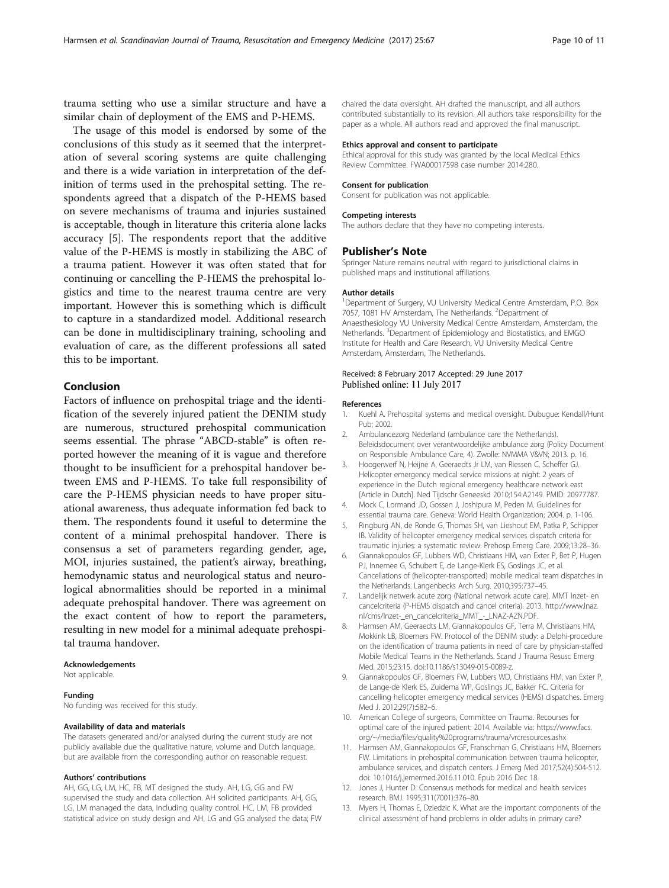<span id="page-9-0"></span>trauma setting who use a similar structure and have a similar chain of deployment of the EMS and P-HEMS.

The usage of this model is endorsed by some of the conclusions of this study as it seemed that the interpretation of several scoring systems are quite challenging and there is a wide variation in interpretation of the definition of terms used in the prehospital setting. The respondents agreed that a dispatch of the P-HEMS based on severe mechanisms of trauma and injuries sustained is acceptable, though in literature this criteria alone lacks accuracy [5]. The respondents report that the additive value of the P-HEMS is mostly in stabilizing the ABC of a trauma patient. However it was often stated that for continuing or cancelling the P-HEMS the prehospital logistics and time to the nearest trauma centre are very important. However this is something which is difficult to capture in a standardized model. Additional research can be done in multidisciplinary training, schooling and evaluation of care, as the different professions all sated this to be important.

## Conclusion

Factors of influence on prehospital triage and the identification of the severely injured patient the DENIM study are numerous, structured prehospital communication seems essential. The phrase "ABCD-stable" is often reported however the meaning of it is vague and therefore thought to be insufficient for a prehospital handover between EMS and P-HEMS. To take full responsibility of care the P-HEMS physician needs to have proper situational awareness, thus adequate information fed back to them. The respondents found it useful to determine the content of a minimal prehospital handover. There is consensus a set of parameters regarding gender, age, MOI, injuries sustained, the patient's airway, breathing, hemodynamic status and neurological status and neurological abnormalities should be reported in a minimal adequate prehospital handover. There was agreement on the exact content of how to report the parameters, resulting in new model for a minimal adequate prehospital trauma handover.

#### Acknowledgements

Not applicable.

#### Funding

No funding was received for this study.

#### Availability of data and materials

The datasets generated and/or analysed during the current study are not publicly available due the qualitative nature, volume and Dutch lanquage, but are available from the corresponding author on reasonable request.

#### Authors' contributions

AH, GG, LG, LM, HC, FB, MT designed the study. AH, LG, GG and FW supervised the study and data collection. AH solicited participants. AH, GG, LG, LM managed the data, including quality control. HC, LM, FB provided statistical advice on study design and AH, LG and GG analysed the data; FW chaired the data oversight. AH drafted the manuscript, and all authors contributed substantially to its revision. All authors take responsibility for the paper as a whole. All authors read and approved the final manuscript.

#### Ethics approval and consent to participate

Ethical approval for this study was granted by the local Medical Ethics Review Committee. FWA00017598 case number 2014:280.

## Consent for publication

Consent for publication was not applicable.

#### Competing interests

The authors declare that they have no competing interests.

#### Publisher's Note

Springer Nature remains neutral with regard to jurisdictional claims in published maps and institutional affiliations.

#### Author details

<sup>1</sup>Department of Surgery, VU University Medical Centre Amsterdam, P.O. Box 7057, 1081 HV Amsterdam, The Netherlands. <sup>2</sup>Department of Anaesthesiology VU University Medical Centre Amsterdam, Amsterdam, the Netherlands.<sup>3</sup>Department of Epidemiology and Biostatistics, and EMGO Institute for Health and Care Research, VU University Medical Centre Amsterdam, Amsterdam, The Netherlands.

## Received: 8 February 2017 Accepted: 29 June 2017 Published online: 11 July 2017

#### References

- 1. Kuehl A. Prehospital systems and medical oversight. Dubugue: Kendall/Hunt Pub; 2002.
- 2. Ambulancezorg Nederland (ambulance care the Netherlands). Beleidsdocument over verantwoordelijke ambulance zorg (Policy Document on Responsible Ambulance Care, 4). Zwolle: NVMMA V&VN; 2013. p. 16.
- 3. Hoogerwerf N, Heijne A, Geeraedts Jr LM, van Riessen C, Scheffer GJ. Helicopter emergency medical service missions at night: 2 years of experience in the Dutch regional emergency healthcare network east [Article in Dutch]. Ned Tijdschr Geneeskd 2010;154:A2149. PMID: 20977787.
- 4. Mock C, Lormand JD, Gossen J, Joshipura M, Peden M. Guidelines for essential trauma care. Geneva: World Health Organization; 2004. p. 1-106.
- 5. Ringburg AN, de Ronde G, Thomas SH, van Lieshout EM, Patka P, Schipper IB. Validity of helicopter emergency medical services dispatch criteria for traumatic injuries: a systematic review. Prehosp Emerg Care. 2009;13:28–36.
- 6. Giannakopoulos GF, Lubbers WD, Christiaans HM, van Exter P, Bet P, Hugen PJ, Innemee G, Schubert E, de Lange-Klerk ES, Goslings JC, et al. Cancellations of (helicopter-transported) mobile medical team dispatches in the Netherlands. Langenbecks Arch Surg. 2010;395:737–45.
- 7. Landelijk netwerk acute zorg (National network acute care). MMT Inzet- en cancelcriteria (P-HEMS dispatch and cancel criteria). 2013. [http://www.lnaz.](http://www.lnaz.nl/cms/Inzet-_en_cancelcriteria_MMT_-_LNAZ-AZN.PDF) [nl/cms/Inzet-\\_en\\_cancelcriteria\\_MMT\\_-\\_LNAZ-AZN.PDF](http://www.lnaz.nl/cms/Inzet-_en_cancelcriteria_MMT_-_LNAZ-AZN.PDF)
- 8. Harmsen AM, Geeraedts LM, Giannakopoulos GF, Terra M, Christiaans HM, Mokkink LB, Bloemers FW. Protocol of the DENIM study: a Delphi-procedure on the identification of trauma patients in need of care by physician-staffed Mobile Medical Teams in the Netherlands. Scand J Trauma Resusc Emerg Med. 2015;23:15. doi[:10.1186/s13049-015-0089-z.](http://dx.doi.org/10.1186/s13049-015-0089-z)
- 9. Giannakopoulos GF, Bloemers FW, Lubbers WD, Christiaans HM, van Exter P, de Lange-de Klerk ES, Zuidema WP, Goslings JC, Bakker FC. Criteria for cancelling helicopter emergency medical services (HEMS) dispatches. Emerg Med J. 2012;29(7):582–6.
- 10. American College of surgeons, Committee on Trauma. Recourses for optimal care of the injured patient: 2014. Available via: [https://www.facs.](https://www.facs.org/~/media/files/quality%20programs/trauma/vrcresources.ashx) [org/~/media/files/quality%20programs/trauma/vrcresources.ashx](https://www.facs.org/~/media/files/quality%20programs/trauma/vrcresources.ashx)
- 11. Harmsen AM, Giannakopoulos GF, Franschman G, Christiaans HM, Bloemers FW. Limitations in prehospital communication between trauma helicopter, ambulance services, and dispatch centers. J Emerg Med 2017;52(4):504-512. doi: [10.1016/j.jemermed.2016.11.010](http://dx.doi.org/10.1016/j.jemermed.2016.11.010). Epub 2016 Dec 18.
- 12. Jones J, Hunter D. Consensus methods for medical and health services research. BMJ. 1995;311(7001):376–80.
- 13. Myers H, Thomas E, Dziedzic K. What are the important components of the clinical assessment of hand problems in older adults in primary care?